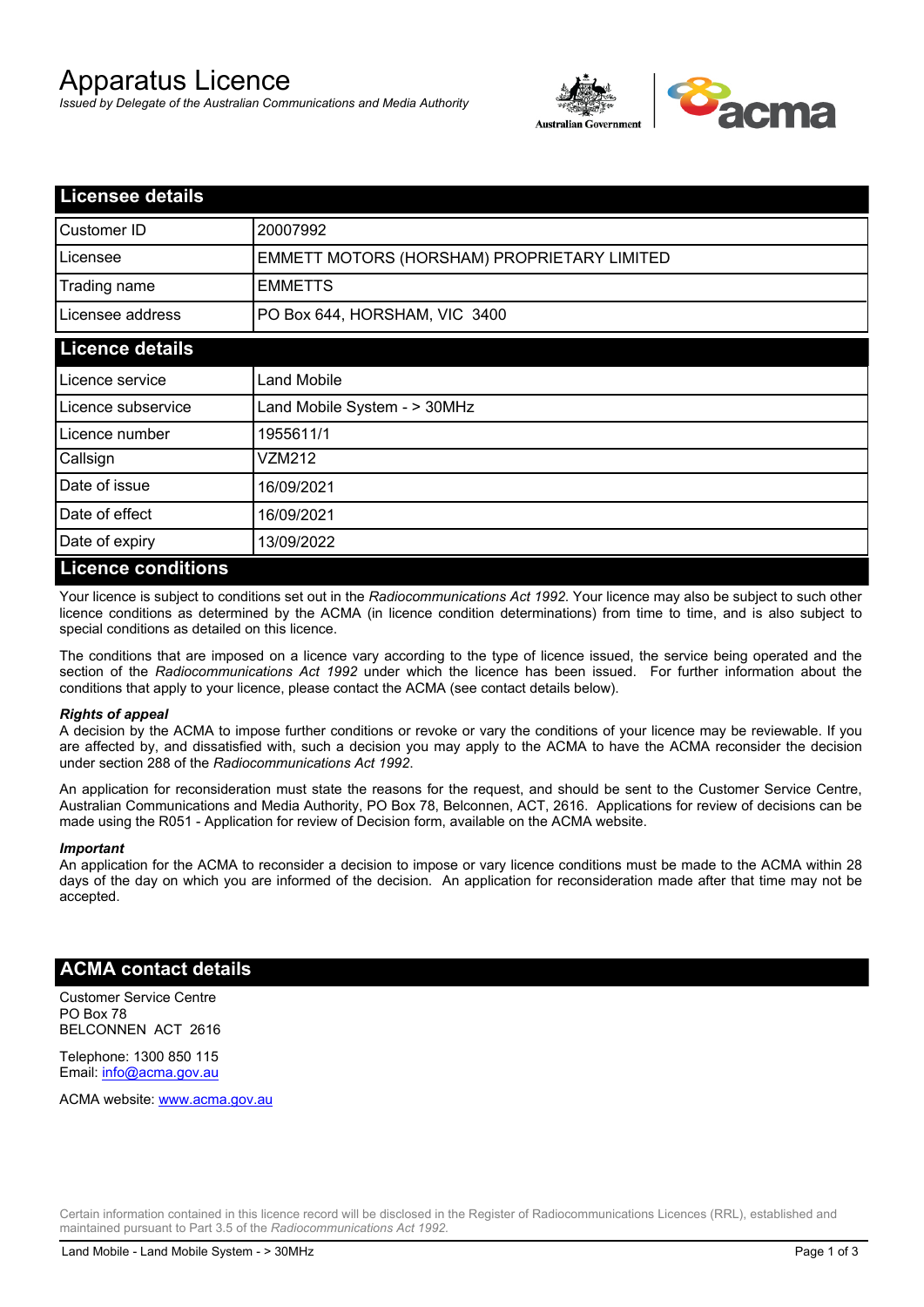# Apparatus Licence

*Issued by Delegate of the Australian Communications and Media Authority*



| <b>Licensee details</b> |                                             |
|-------------------------|---------------------------------------------|
| Customer ID             | 20007992                                    |
| Licensee                | EMMETT MOTORS (HORSHAM) PROPRIETARY LIMITED |
| Trading name            | <b>EMMETTS</b>                              |
| Licensee address        | PO Box 644, HORSHAM, VIC 3400               |
| <b>Licence details</b>  |                                             |
| Licence service         | <b>Land Mobile</b>                          |
| Licence subservice      | Land Mobile System - > 30MHz                |
| Licence number          | 1955611/1                                   |
| Callsign                | VZM212                                      |
| Date of issue           | 16/09/2021                                  |
| Date of effect          | 16/09/2021                                  |
| Date of expiry          | 13/09/2022                                  |
| Licance conditions      |                                             |

### **Licence conditions**

Your licence is subject to conditions set out in the *Radiocommunications Act 1992*. Your licence may also be subject to such other licence conditions as determined by the ACMA (in licence condition determinations) from time to time, and is also subject to special conditions as detailed on this licence.

The conditions that are imposed on a licence vary according to the type of licence issued, the service being operated and the section of the *Radiocommunications Act 1992* under which the licence has been issued. For further information about the conditions that apply to your licence, please contact the ACMA (see contact details below).

#### *Rights of appeal*

A decision by the ACMA to impose further conditions or revoke or vary the conditions of your licence may be reviewable. If you are affected by, and dissatisfied with, such a decision you may apply to the ACMA to have the ACMA reconsider the decision under section 288 of the *Radiocommunications Act 1992*.

An application for reconsideration must state the reasons for the request, and should be sent to the Customer Service Centre, Australian Communications and Media Authority, PO Box 78, Belconnen, ACT, 2616. Applications for review of decisions can be made using the R051 - Application for review of Decision form, available on the ACMA website.

#### *Important*

An application for the ACMA to reconsider a decision to impose or vary licence conditions must be made to the ACMA within 28 days of the day on which you are informed of the decision. An application for reconsideration made after that time may not be accepted.

## **ACMA contact details**

Customer Service Centre PO Box 78 BELCONNEN ACT 2616

Telephone: 1300 850 115 Email: info@acma.gov.au

ACMA website: www.acma.gov.au

Certain information contained in this licence record will be disclosed in the Register of Radiocommunications Licences (RRL), established and maintained pursuant to Part 3.5 of the *Radiocommunications Act 1992.*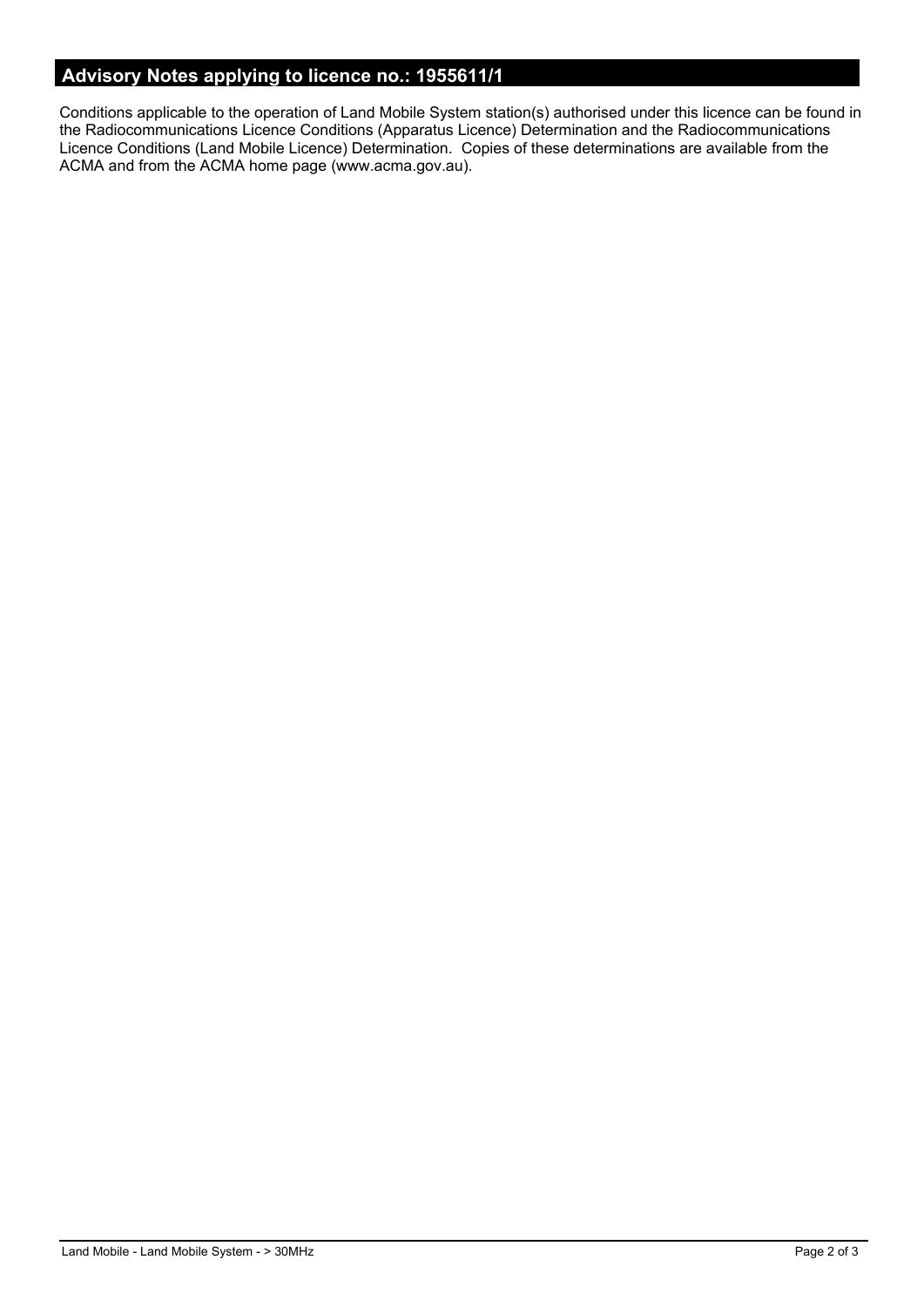# **Advisory Notes applying to licence no.: 1955611/1**

Conditions applicable to the operation of Land Mobile System station(s) authorised under this licence can be found in the Radiocommunications Licence Conditions (Apparatus Licence) Determination and the Radiocommunications Licence Conditions (Land Mobile Licence) Determination. Copies of these determinations are available from the ACMA and from the ACMA home page (www.acma.gov.au).